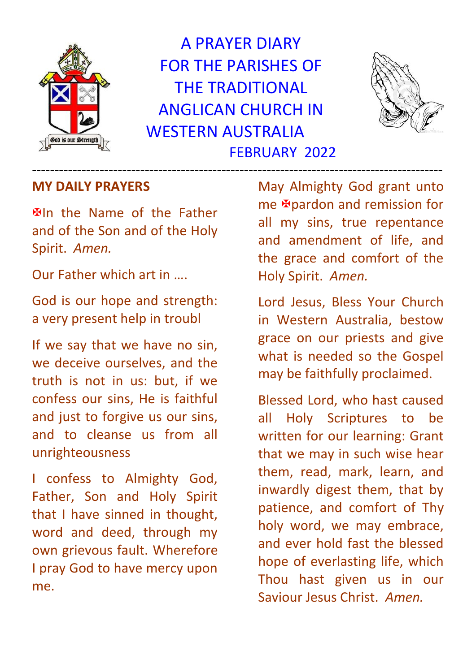

A PRAYER DIARY FOR THE PARISHES OF THE TRADITIONAL ANGLICAN CHURCH IN WESTERN AUSTRALIA FEBRUARY 2022

-------------------------------------------------------------------------------------------



#### **MY DAILY PRAYERS**

In the Name of the Father and of the Son and of the Holy Spirit. *Amen.*

Our Father which art in ….

God is our hope and strength: a very present help in troubl

If we say that we have no sin, we deceive ourselves, and the truth is not in us: but, if we confess our sins, He is faithful and just to forgive us our sins, and to cleanse us from all unrighteousness

I confess to Almighty God, Father, Son and Holy Spirit that I have sinned in thought, word and deed, through my own grievous fault. Wherefore I pray God to have mercy upon me.

May Almighty God grant unto me **F** pardon and remission for all my sins, true repentance and amendment of life, and the grace and comfort of the Holy Spirit. *Amen.*

Lord Jesus, Bless Your Church in Western Australia, bestow grace on our priests and give what is needed so the Gospel may be faithfully proclaimed.

Blessed Lord, who hast caused all Holy Scriptures to be written for our learning: Grant that we may in such wise hear them, read, mark, learn, and inwardly digest them, that by patience, and comfort of Thy holy word, we may embrace, and ever hold fast the blessed hope of everlasting life, which Thou hast given us in our Saviour Jesus Christ. *Amen.*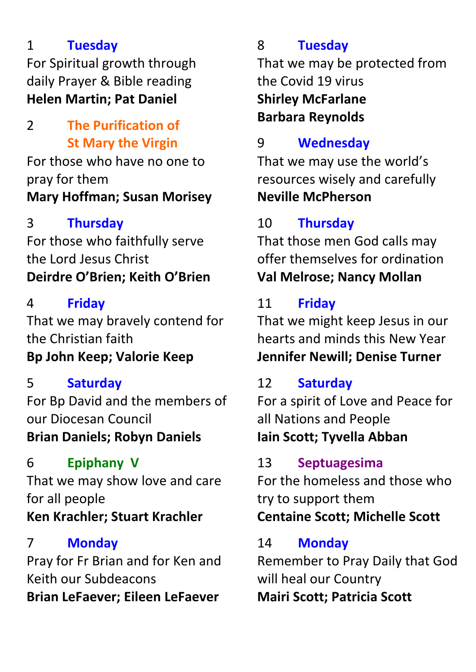### 1 **Tuesday**

For Spiritual growth through daily Prayer & Bible reading **Helen Martin; Pat Daniel**

#### 2 **The Purification of St Mary the Virgin**

For those who have no one to pray for them **Mary Hoffman; Susan Morisey**

## 3 **Thursday**

For those who faithfully serve the Lord Jesus Christ **Deirdre O'Brien; Keith O'Brien**

## 4 **Friday**

That we may bravely contend for the Christian faith **Bp John Keep; Valorie Keep**

## 5 **Saturday**

For Bp David and the members of our Diocesan Council

#### **Brian Daniels; Robyn Daniels**

## 6 **Epiphany V**

That we may show love and care for all people **Ken Krachler; Stuart Krachler**

## 7 **Monday**

Pray for Fr Brian and for Ken and Keith our Subdeacons **Brian LeFaever; Eileen LeFaever**

## 8 **Tuesday**

That we may be protected from the Covid 19 virus **Shirley McFarlane Barbara Reynolds**

## 9 **Wednesday**

That we may use the world's resources wisely and carefully **Neville McPherson**

## 10 **Thursday**

That those men God calls may offer themselves for ordination **Val Melrose; Nancy Mollan**

## 11 **Friday**

That we might keep Jesus in our hearts and minds this New Year **Jennifer Newill; Denise Turner**

## 12 **Saturday**

For a spirit of Love and Peace for all Nations and People **Iain Scott; Tyvella Abban**

#### 13 **Septuagesima**

For the homeless and those who try to support them **Centaine Scott; Michelle Scott**

#### 14 **Monday**

Remember to Pray Daily that God will heal our Country **Mairi Scott; Patricia Scott**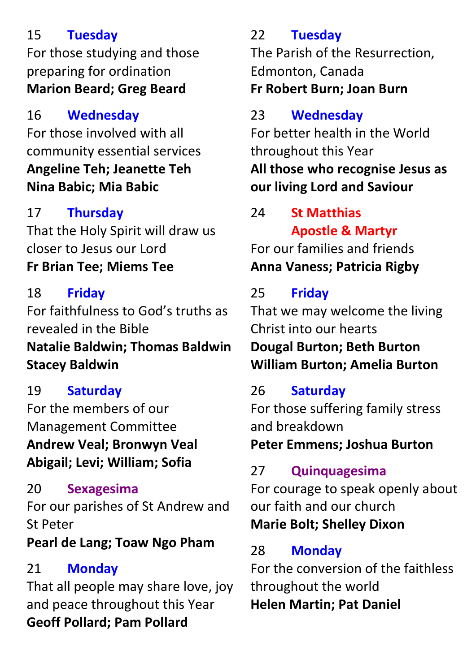#### 15 **Tuesday**

For those studying and those preparing for ordination **Marion Beard; Greg Beard**

#### 16 **Wednesday**

For those involved with all community essential services **Angeline Teh; Jeanette Teh Nina Babic; Mia Babic**

### 17 **Thursday**

That the Holy Spirit will draw us closer to Jesus our Lord **Fr Brian Tee; Miems Tee**

## 18 **Friday**

For faithfulness to God's truths as revealed in the Bible **Natalie Baldwin; Thomas Baldwin Stacey Baldwin**

## 19 **Saturday**

For the members of our Management Committee **Andrew Veal; Bronwyn Veal Abigail; Levi; William; Sofia**

## 20 **Sexagesima**

For our parishes of St Andrew and St Peter

## **Pearl de Lang; Toaw Ngo Pham**

## 21 **Monday**

That all people may share love, joy and peace throughout this Year **Geoff Pollard; Pam Pollard**

## 22 **Tuesday**

The Parish of the Resurrection, Edmonton, Canada **Fr Robert Burn; Joan Burn**

## 23 **Wednesday**

For better health in the World throughout this Year **All those who recognise Jesus as our living Lord and Saviour**

## 24 **St Matthias Apostle & Martyr**

For our families and friends **Anna Vaness; Patricia Rigby**

# 25 **Friday**

That we may welcome the living Christ into our hearts **Dougal Burton; Beth Burton William Burton; Amelia Burton**

## 26 **Saturday**

For those suffering family stress and breakdown **Peter Emmens; Joshua Burton**

## 27 **Quinquagesima**

For courage to speak openly about our faith and our church **Marie Bolt; Shelley Dixon**

## 28 **Monday**

For the conversion of the faithless throughout the world **Helen Martin; Pat Daniel**